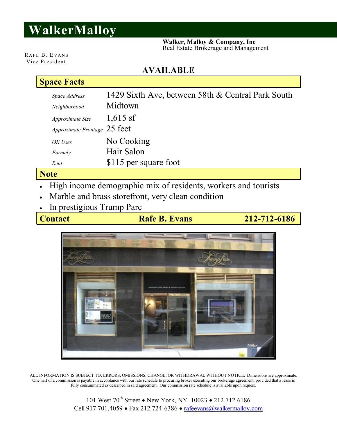# **WalkerMalloy**

 **Walker, Malloy & Company, Inc** Real Estate Brokerage and Management

RAFE B. EVANS Vice President

#### **AVAILABLE**

### **Space Facts**

| Space Address                | 1429 Sixth Ave, between 58th & Central Park South |
|------------------------------|---------------------------------------------------|
| Neighborhood                 | Midtown                                           |
| Approximate Size             | $1,615$ sf                                        |
| Approximate Frontage 25 feet |                                                   |
| OK Uses                      | No Cooking                                        |
| Formely                      | Hair Salon                                        |
| Rent                         | \$115 per square foot                             |
| <b>nto</b>                   |                                                   |

### **Note**

- High income demographic mix of residents, workers and tourists
- Marble and brass storefront, very clean condition
- In prestigious Trump Parc

**Contact Rafe B. Evans** 212-712-6186



ALL INFORMATION IS SUBJECT TO, ERRORS, OMISSIONS, CHANGE, OR WITHDRAWAL WITHOUT NOTICE. Dimensions are approximate. One half of a commission is payable in accordance with our rate schedule to procuring broker executing our brokerage agreement, provided that a lease is fully consummated as described in said agreement. Our commission rate schedule is available upon request.

> 101 West  $70^{th}$  Street • New York, NY 10023 • 212 712.6186 Cell 917 701.4059 · Fax 212 724-6386 · rafeevans@walkermalloy.com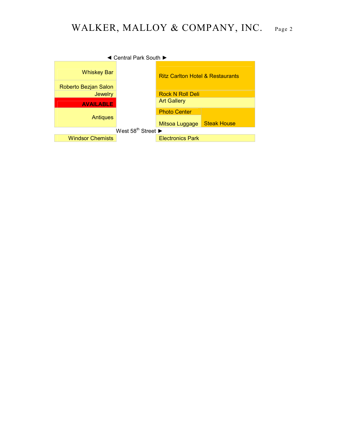## WALKER, MALLOY & COMPANY, INC. Page 2

| ◀ Central Park South ▶                             |  |                                             |                    |  |  |
|----------------------------------------------------|--|---------------------------------------------|--------------------|--|--|
| <b>Whiskey Bar</b>                                 |  | <b>Ritz Carlton Hotel &amp; Restaurants</b> |                    |  |  |
| Roberto Bezjan Salon                               |  |                                             |                    |  |  |
| <b>Jewelry</b>                                     |  | <b>Rock N Roll Deli</b>                     |                    |  |  |
| <b>AVAILABLE</b>                                   |  | <b>Art Gallery</b>                          |                    |  |  |
|                                                    |  | <b>Photo Center</b>                         |                    |  |  |
| <b>Antiques</b>                                    |  | Mitsoa Luggage                              | <b>Steak House</b> |  |  |
| West $58^{\text{th}}$ Street $\blacktriangleright$ |  |                                             |                    |  |  |
| <b>Windsor Chemists</b>                            |  | <b>Electronics Park</b>                     |                    |  |  |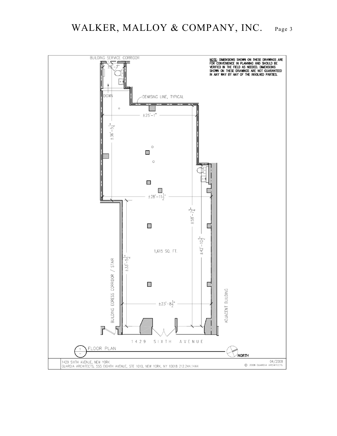